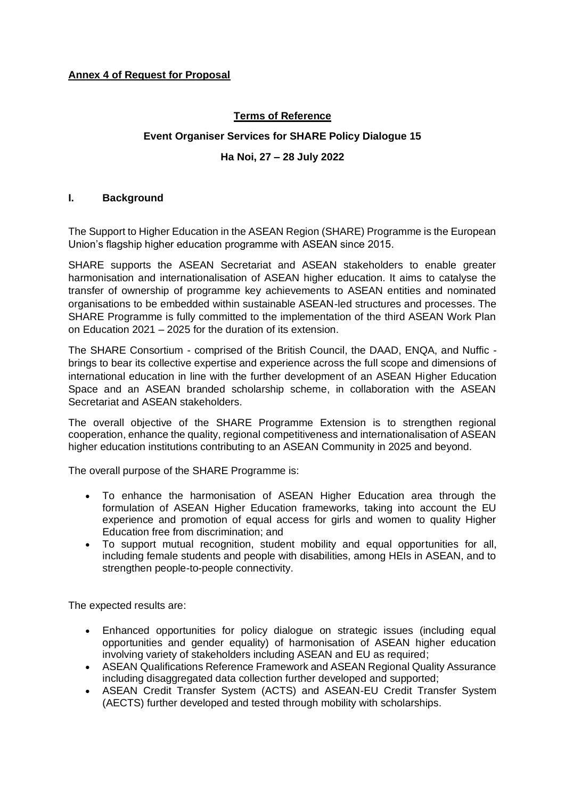## **Terms of Reference**

# **Event Organiser Services for SHARE Policy Dialogue 15**

## **Ha Noi, 27 – 28 July 2022**

## **I. Background**

The Support to Higher Education in the ASEAN Region (SHARE) Programme is the European Union's flagship higher education programme with ASEAN since 2015.

SHARE supports the ASEAN Secretariat and ASEAN stakeholders to enable greater harmonisation and internationalisation of ASEAN higher education. It aims to catalyse the transfer of ownership of programme key achievements to ASEAN entities and nominated organisations to be embedded within sustainable ASEAN-led structures and processes. The SHARE Programme is fully committed to the implementation of the third ASEAN Work Plan on Education 2021 – 2025 for the duration of its extension.

The SHARE Consortium - comprised of the British Council, the DAAD, ENQA, and Nuffic brings to bear its collective expertise and experience across the full scope and dimensions of international education in line with the further development of an ASEAN Higher Education Space and an ASEAN branded scholarship scheme, in collaboration with the ASEAN Secretariat and ASEAN stakeholders.

The overall objective of the SHARE Programme Extension is to strengthen regional cooperation, enhance the quality, regional competitiveness and internationalisation of ASEAN higher education institutions contributing to an ASEAN Community in 2025 and beyond.

The overall purpose of the SHARE Programme is:

- To enhance the harmonisation of ASEAN Higher Education area through the formulation of ASEAN Higher Education frameworks, taking into account the EU experience and promotion of equal access for girls and women to quality Higher Education free from discrimination; and
- To support mutual recognition, student mobility and equal opportunities for all, including female students and people with disabilities, among HEIs in ASEAN, and to strengthen people-to-people connectivity.

The expected results are:

- Enhanced opportunities for policy dialogue on strategic issues (including equal opportunities and gender equality) of harmonisation of ASEAN higher education involving variety of stakeholders including ASEAN and EU as required;
- ASEAN Qualifications Reference Framework and ASEAN Regional Quality Assurance including disaggregated data collection further developed and supported;
- ASEAN Credit Transfer System (ACTS) and ASEAN-EU Credit Transfer System (AECTS) further developed and tested through mobility with scholarships.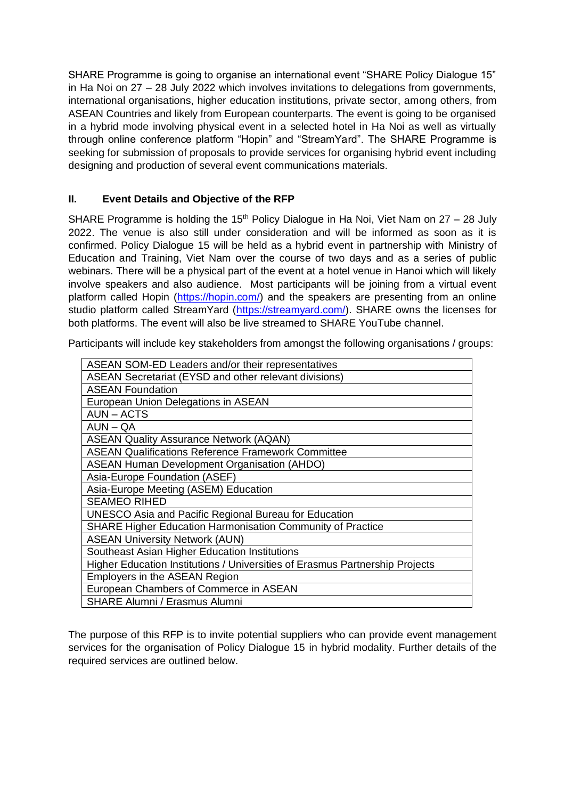SHARE Programme is going to organise an international event "SHARE Policy Dialogue 15" in Ha Noi on 27 – 28 July 2022 which involves invitations to delegations from governments, international organisations, higher education institutions, private sector, among others, from ASEAN Countries and likely from European counterparts. The event is going to be organised in a hybrid mode involving physical event in a selected hotel in Ha Noi as well as virtually through online conference platform "Hopin" and "StreamYard". The SHARE Programme is seeking for submission of proposals to provide services for organising hybrid event including designing and production of several event communications materials.

## **II. Event Details and Objective of the RFP**

SHARE Programme is holding the 15<sup>th</sup> Policy Dialogue in Ha Noi, Viet Nam on  $27 - 28$  July 2022. The venue is also still under consideration and will be informed as soon as it is confirmed. Policy Dialogue 15 will be held as a hybrid event in partnership with Ministry of Education and Training, Viet Nam over the course of two days and as a series of public webinars. There will be a physical part of the event at a hotel venue in Hanoi which will likely involve speakers and also audience. Most participants will be joining from a virtual event platform called Hopin [\(https://hopin.com/\)](https://hopin.com/) and the speakers are presenting from an online studio platform called StreamYard [\(https://streamyard.com/\)](https://streamyard.com/). SHARE owns the licenses for both platforms. The event will also be live streamed to SHARE YouTube channel.

Participants will include key stakeholders from amongst the following organisations / groups:

| ASEAN SOM-ED Leaders and/or their representatives                            |
|------------------------------------------------------------------------------|
| ASEAN Secretariat (EYSD and other relevant divisions)                        |
| <b>ASEAN Foundation</b>                                                      |
| European Union Delegations in ASEAN                                          |
| <b>AUN - ACTS</b>                                                            |
| $AUN - QA$                                                                   |
| <b>ASEAN Quality Assurance Network (AQAN)</b>                                |
| <b>ASEAN Qualifications Reference Framework Committee</b>                    |
| <b>ASEAN Human Development Organisation (AHDO)</b>                           |
| Asia-Europe Foundation (ASEF)                                                |
| Asia-Europe Meeting (ASEM) Education                                         |
| <b>SEAMEO RIHED</b>                                                          |
| <b>UNESCO Asia and Pacific Regional Bureau for Education</b>                 |
| <b>SHARE Higher Education Harmonisation Community of Practice</b>            |
| <b>ASEAN University Network (AUN)</b>                                        |
| Southeast Asian Higher Education Institutions                                |
| Higher Education Institutions / Universities of Erasmus Partnership Projects |
| Employers in the ASEAN Region                                                |
| European Chambers of Commerce in ASEAN                                       |
| <b>SHARE Alumni / Erasmus Alumni</b>                                         |
|                                                                              |

The purpose of this RFP is to invite potential suppliers who can provide event management services for the organisation of Policy Dialogue 15 in hybrid modality. Further details of the required services are outlined below.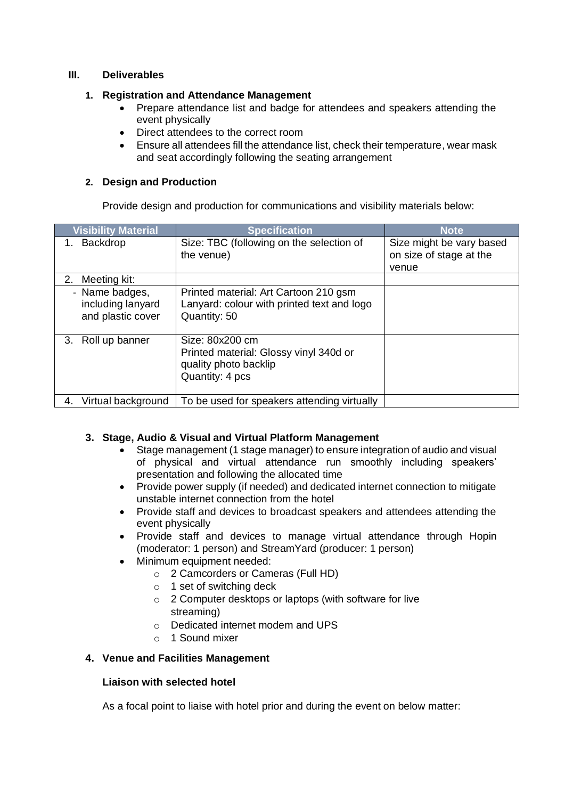## **III. Deliverables**

#### **1. Registration and Attendance Management**

- Prepare attendance list and badge for attendees and speakers attending the event physically
- Direct attendees to the correct room
- Ensure all attendees fill the attendance list, check their temperature, wear mask and seat accordingly following the seating arrangement

## **2. Design and Production**

Provide design and production for communications and visibility materials below:

| <b>Visibility Material</b>                               | <b>Specification</b>                                                                                  | <b>Note</b>                                                  |
|----------------------------------------------------------|-------------------------------------------------------------------------------------------------------|--------------------------------------------------------------|
| Backdrop<br>1.                                           | Size: TBC (following on the selection of<br>the venue)                                                | Size might be vary based<br>on size of stage at the<br>venue |
| 2. Meeting kit:                                          |                                                                                                       |                                                              |
| - Name badges,<br>including lanyard<br>and plastic cover | Printed material: Art Cartoon 210 gsm<br>Lanyard: colour with printed text and logo<br>Quantity: 50   |                                                              |
| 3. Roll up banner                                        | Size: 80x200 cm<br>Printed material: Glossy vinyl 340d or<br>quality photo backlip<br>Quantity: 4 pcs |                                                              |
| Virtual background<br>4.                                 | To be used for speakers attending virtually                                                           |                                                              |

## **3. Stage, Audio & Visual and Virtual Platform Management**

- Stage management (1 stage manager) to ensure integration of audio and visual of physical and virtual attendance run smoothly including speakers' presentation and following the allocated time
- Provide power supply (if needed) and dedicated internet connection to mitigate unstable internet connection from the hotel
- Provide staff and devices to broadcast speakers and attendees attending the event physically
- Provide staff and devices to manage virtual attendance through Hopin (moderator: 1 person) and StreamYard (producer: 1 person)
- Minimum equipment needed:
	- o 2 Camcorders or Cameras (Full HD)
	- o 1 set of switching deck
	- o 2 Computer desktops or laptops (with software for live streaming)
	- o Dedicated internet modem and UPS
	- $\circ$  1 Sound mixer

## **4. Venue and Facilities Management**

## **Liaison with selected hotel**

As a focal point to liaise with hotel prior and during the event on below matter: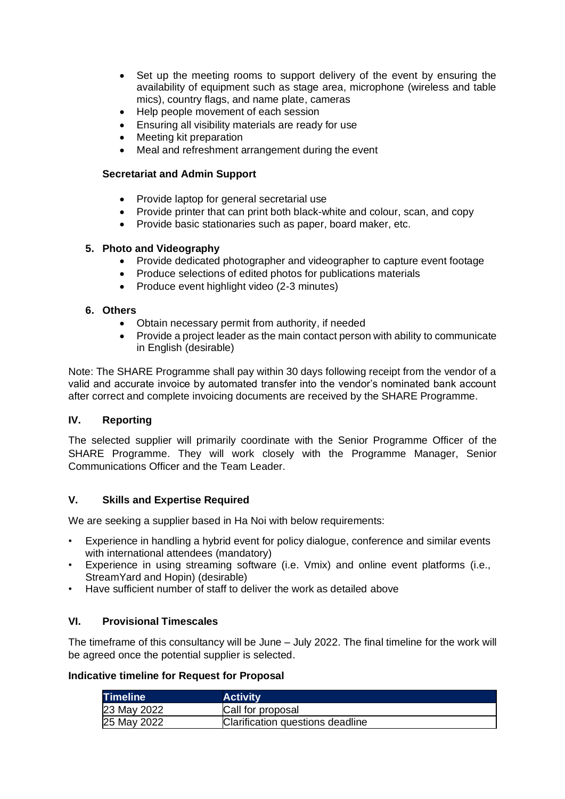- Set up the meeting rooms to support delivery of the event by ensuring the availability of equipment such as stage area, microphone (wireless and table mics), country flags, and name plate, cameras
- Help people movement of each session
- Ensuring all visibility materials are ready for use
- Meeting kit preparation
- Meal and refreshment arrangement during the event

## **Secretariat and Admin Support**

- Provide laptop for general secretarial use
- Provide printer that can print both black-white and colour, scan, and copy
- Provide basic stationaries such as paper, board maker, etc.

## **5. Photo and Videography**

- Provide dedicated photographer and videographer to capture event footage
- Produce selections of edited photos for publications materials
- Produce event highlight video (2-3 minutes)

## **6. Others**

- Obtain necessary permit from authority, if needed
- Provide a project leader as the main contact person with ability to communicate in English (desirable)

Note: The SHARE Programme shall pay within 30 days following receipt from the vendor of a valid and accurate invoice by automated transfer into the vendor's nominated bank account after correct and complete invoicing documents are received by the SHARE Programme.

## **IV. Reporting**

The selected supplier will primarily coordinate with the Senior Programme Officer of the SHARE Programme. They will work closely with the Programme Manager, Senior Communications Officer and the Team Leader.

## **V. Skills and Expertise Required**

We are seeking a supplier based in Ha Noi with below requirements:

- Experience in handling a hybrid event for policy dialogue, conference and similar events with international attendees (mandatory)
- Experience in using streaming software (i.e. Vmix) and online event platforms (i.e., StreamYard and Hopin) (desirable)
- Have sufficient number of staff to deliver the work as detailed above

## **VI. Provisional Timescales**

The timeframe of this consultancy will be June – July 2022. The final timeline for the work will be agreed once the potential supplier is selected.

#### **Indicative timeline for Request for Proposal**

| <b>Timeline</b> | <b>Activity</b>                  |
|-----------------|----------------------------------|
| 23 May 2022     | Call for proposal                |
| 25 May 2022     | Clarification questions deadline |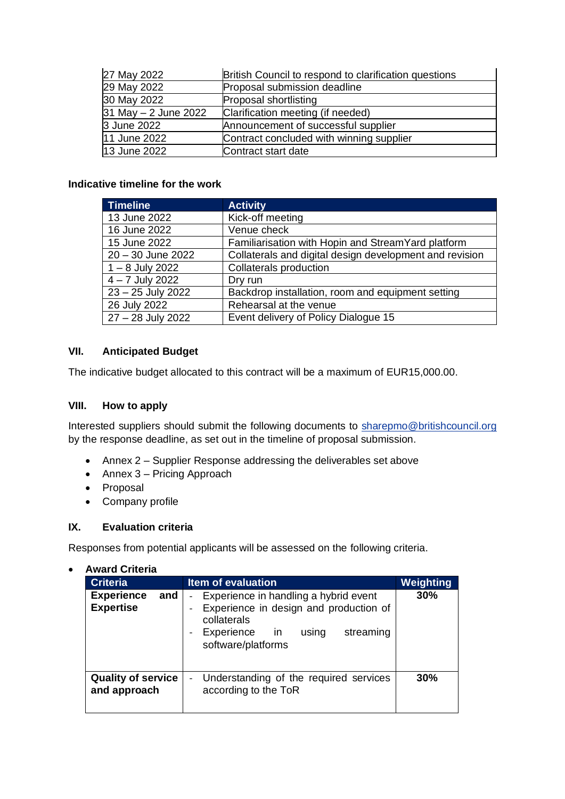| 27 May 2022          | British Council to respond to clarification questions |
|----------------------|-------------------------------------------------------|
| 29 May 2022          | Proposal submission deadline                          |
| 30 May 2022          | Proposal shortlisting                                 |
| 31 May - 2 June 2022 | Clarification meeting (if needed)                     |
| 3 June 2022          | Announcement of successful supplier                   |
| 11 June 2022         | Contract concluded with winning supplier              |
| 13 June 2022         | Contract start date                                   |

## **Indicative timeline for the work**

| Timeline            | <b>Activity</b>                                         |
|---------------------|---------------------------------------------------------|
| 13 June 2022        | Kick-off meeting                                        |
| 16 June 2022        | Venue check                                             |
| 15 June 2022        | Familiarisation with Hopin and StreamYard platform      |
| $20 - 30$ June 2022 | Collaterals and digital design development and revision |
| $1 - 8$ July 2022   | <b>Collaterals production</b>                           |
| $4 - 7$ July 2022   | Dry run                                                 |
| 23 - 25 July 2022   | Backdrop installation, room and equipment setting       |
| 26 July 2022        | Rehearsal at the venue                                  |
| 27 - 28 July 2022   | Event delivery of Policy Dialogue 15                    |

## **VII. Anticipated Budget**

The indicative budget allocated to this contract will be a maximum of EUR15,000.00.

## **VIII. How to apply**

Interested suppliers should submit the following documents to [sharepmo@britishcouncil.org](mailto:sharepmo@britishcouncil.org) by the response deadline, as set out in the timeline of proposal submission.

- Annex 2 Supplier Response addressing the deliverables set above
- Annex 3 Pricing Approach
- Proposal
- Company profile

## **IX. Evaluation criteria**

Responses from potential applicants will be assessed on the following criteria.

| <b>Criteria</b>                              | <b>Item of evaluation</b>                                                                                                                                   | Weighting |
|----------------------------------------------|-------------------------------------------------------------------------------------------------------------------------------------------------------------|-----------|
| <b>Experience</b><br>and<br><b>Expertise</b> | Experience in handling a hybrid event<br>Experience in design and production of<br>collaterals<br>Experience in<br>streaming<br>using<br>software/platforms | 30%       |
| <b>Quality of service</b><br>and approach    | Understanding of the required services<br>according to the ToR                                                                                              | 30%       |

• **Award Criteria**